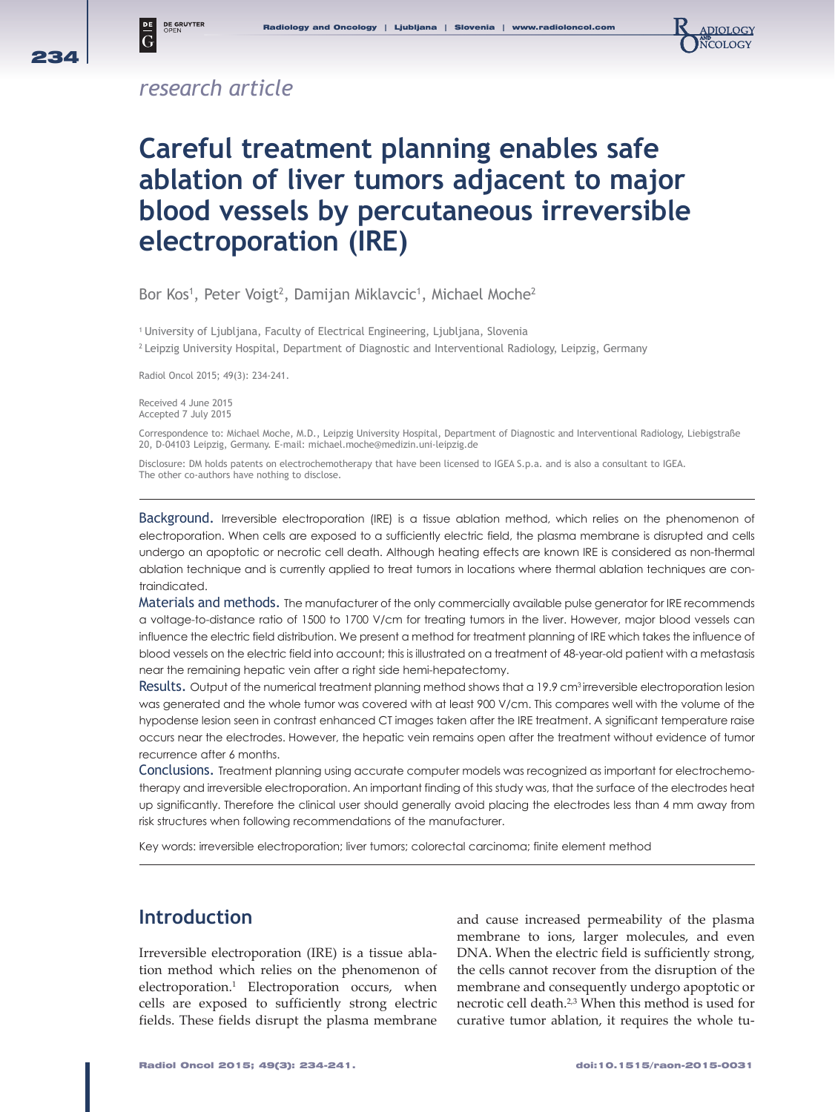

### *research article*

**DE GRUYTER**<br>OPEN

 $|\bar{_{\rm G}}$ 

# **Careful treatment planning enables safe ablation of liver tumors adjacent to major blood vessels by percutaneous irreversible electroporation (IRE)**

Bor Kos<sup>1</sup>, Peter Voigt<sup>2</sup>, Damijan Miklavcic<sup>1</sup>, Michael Moche<sup>2</sup>

<sup>1</sup> University of Ljubljana, Faculty of Electrical Engineering, Ljubljana, Slovenia

2 Leipzig University Hospital, Department of Diagnostic and Interventional Radiology, Leipzig, Germany

Radiol Oncol 2015; 49(3): 234-241.

Received 4 June 2015 Accepted 7 July 2015

Correspondence to: Michael Moche, M.D., Leipzig University Hospital, Department of Diagnostic and Interventional Radiology, Liebigstraße 20, D-04103 Leipzig, Germany. E-mail: michael.moche@medizin.uni-leipzig.de

Disclosure: DM holds patents on electrochemotherapy that have been licensed to IGEA S.p.a. and is also a consultant to IGEA. The other co-authors have nothing to disclose.

Background. Irreversible electroporation (IRE) is a tissue ablation method, which relies on the phenomenon of electroporation. When cells are exposed to a sufficiently electric field, the plasma membrane is disrupted and cells undergo an apoptotic or necrotic cell death. Although heating effects are known IRE is considered as non-thermal ablation technique and is currently applied to treat tumors in locations where thermal ablation techniques are contraindicated.

Materials and methods. The manufacturer of the only commercially available pulse generator for IRE recommends a voltage-to-distance ratio of 1500 to 1700 V/cm for treating tumors in the liver. However, major blood vessels can influence the electric field distribution. We present a method for treatment planning of IRE which takes the influence of blood vessels on the electric field into account; this is illustrated on a treatment of 48-year-old patient with a metastasis near the remaining hepatic vein after a right side hemi-hepatectomy.

Results. Output of the numerical treatment planning method shows that a 19.9 cm<sup>3</sup> irreversible electroporation lesion was generated and the whole tumor was covered with at least 900 V/cm. This compares well with the volume of the hypodense lesion seen in contrast enhanced CT images taken after the IRE treatment. A significant temperature raise occurs near the electrodes. However, the hepatic vein remains open after the treatment without evidence of tumor recurrence after 6 months.

Conclusions. Treatment planning using accurate computer models was recognized as important for electrochemotherapy and irreversible electroporation. An important finding of this study was, that the surface of the electrodes heat up significantly. Therefore the clinical user should generally avoid placing the electrodes less than 4 mm away from risk structures when following recommendations of the manufacturer.

Key words: irreversible electroporation; liver tumors; colorectal carcinoma; finite element method

#### **Introduction**

Irreversible electroporation (IRE) is a tissue ablation method which relies on the phenomenon of electroporation.1 Electroporation occurs, when cells are exposed to sufficiently strong electric fields. These fields disrupt the plasma membrane

and cause increased permeability of the plasma membrane to ions, larger molecules, and even DNA. When the electric field is sufficiently strong, the cells cannot recover from the disruption of the membrane and consequently undergo apoptotic or necrotic cell death.2,3 When this method is used for curative tumor ablation, it requires the whole tu-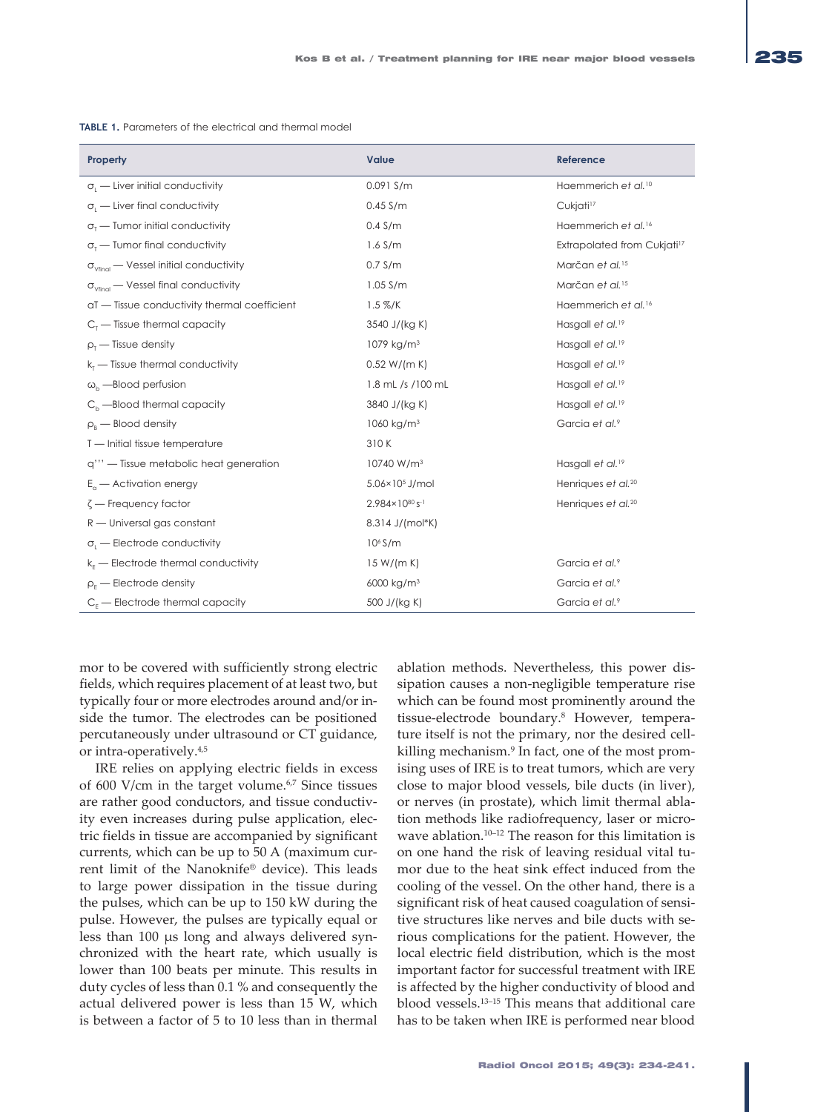| Property                                               | Value                      | Reference                               |  |
|--------------------------------------------------------|----------------------------|-----------------------------------------|--|
| $\sigma_{i}$ — Liver initial conductivity              | $0.091$ S/m                | Haemmerich et al. <sup>10</sup>         |  |
| $\sigma_{\text{I}}$ - Liver final conductivity         | $0.45$ S/m                 | Cukjati <sup>17</sup>                   |  |
| $\sigma_{\tau}$ – Tumor initial conductivity           | $0.4$ S/m                  | Haemmerich et al. <sup>16</sup>         |  |
| $\sigma_{\tau}$ Tumor final conductivity               | $1.6$ S/m                  | Extrapolated from Cukjati <sup>17</sup> |  |
| $\sigma_{\text{vfinal}}$ - Vessel initial conductivity | $0.7$ S/m                  | Marčan et al. <sup>15</sup>             |  |
| $\sigma_{\text{vfinal}}$ - Vessel final conductivity   | $1.05$ S/m                 | Marčan et al. <sup>15</sup>             |  |
| aT - Tissue conductivity thermal coefficient           | $1.5 \%$ /K                | Haemmerich et al. <sup>16</sup>         |  |
| $Cr$ — Tissue thermal capacity                         | 3540 J/(kg K)              | Hasgall et al. <sup>19</sup>            |  |
| $\rho_{\rm r}$ - Tissue density                        | 1079 kg/m <sup>3</sup>     | Hasgall et al. <sup>19</sup>            |  |
| $k_t$ - Tissue thermal conductivity                    | 0.52 W/(m K)               | Hasgall et al. <sup>19</sup>            |  |
| $\omega_{h}$ ---Blood perfusion                        | 1.8 mL /s /100 mL          | Hasgall et al. <sup>19</sup>            |  |
| $C_{h}$ --Blood thermal capacity                       | 3840 J/(kg K)              | Hasgall et al. <sup>19</sup>            |  |
| $\rho_{\rm B}$ – Blood density                         | 1060 kg/m <sup>3</sup>     | Garcia et al. <sup>9</sup>              |  |
| T - Initial tissue temperature                         | 310K                       |                                         |  |
| q''' - Tissue metabolic heat generation                | 10740 W/m <sup>3</sup>     | Hasgall et al. <sup>19</sup>            |  |
| $E_{0}$ — Activation energy                            | 5.06×10 <sup>5</sup> J/mol | Henriques et al. <sup>20</sup>          |  |
| $\zeta$ – Frequency factor                             | 2.984×1080 s-1             | Henriques et al. <sup>20</sup>          |  |
| $R$ — Universal gas constant                           | 8.314 J/(mol*K)            |                                         |  |
| $\sigma$ . - Electrode conductivity                    | 10 <sup>6</sup> S/m        |                                         |  |
| $k_F$ - Electrode thermal conductivity                 | 15 W/(m K)                 | Garcia et al.9                          |  |
| $\rho_{\rm F}$ - Electrode density                     | 6000 kg/m <sup>3</sup>     | Garcia et al.9                          |  |
| $C_{E}$ - Electrode thermal capacity                   | 500 J/(kg K)               | Garcia et al.9                          |  |

**TABLE 1.** Parameters of the electrical and thermal model

mor to be covered with sufficiently strong electric fields, which requires placement of at least two, but typically four or more electrodes around and/or inside the tumor. The electrodes can be positioned percutaneously under ultrasound or CT guidance, or intra-operatively.4,5

IRE relies on applying electric fields in excess of 600 V/cm in the target volume.<sup>6,7</sup> Since tissues are rather good conductors, and tissue conductivity even increases during pulse application, electric fields in tissue are accompanied by significant currents, which can be up to 50 A (maximum current limit of the Nanoknife® device). This leads to large power dissipation in the tissue during the pulses, which can be up to 150 kW during the pulse. However, the pulses are typically equal or less than 100 μs long and always delivered synchronized with the heart rate, which usually is lower than 100 beats per minute. This results in duty cycles of less than 0.1 % and consequently the actual delivered power is less than 15 W, which is between a factor of 5 to 10 less than in thermal ablation methods. Nevertheless, this power dissipation causes a non-negligible temperature rise which can be found most prominently around the tissue-electrode boundary.8 However, temperature itself is not the primary, nor the desired cellkilling mechanism.<sup>9</sup> In fact, one of the most promising uses of IRE is to treat tumors, which are very close to major blood vessels, bile ducts (in liver), or nerves (in prostate), which limit thermal ablation methods like radiofrequency, laser or microwave ablation.<sup>10-12</sup> The reason for this limitation is on one hand the risk of leaving residual vital tumor due to the heat sink effect induced from the cooling of the vessel. On the other hand, there is a significant risk of heat caused coagulation of sensitive structures like nerves and bile ducts with serious complications for the patient. However, the local electric field distribution, which is the most important factor for successful treatment with IRE is affected by the higher conductivity of blood and blood vessels.13–15 This means that additional care has to be taken when IRE is performed near blood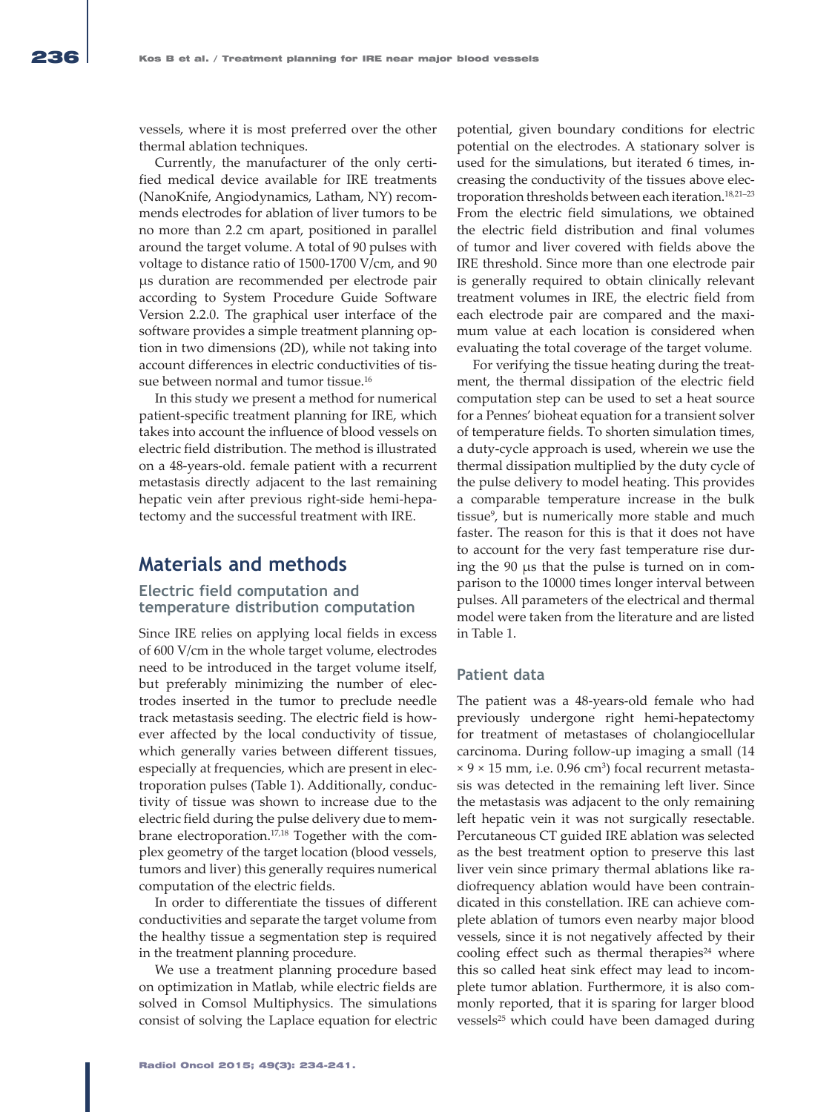vessels, where it is most preferred over the other thermal ablation techniques.

Currently, the manufacturer of the only certified medical device available for IRE treatments (NanoKnife, Angiodynamics, Latham, NY) recommends electrodes for ablation of liver tumors to be no more than 2.2 cm apart, positioned in parallel around the target volume. A total of 90 pulses with voltage to distance ratio of 1500-1700 V/cm, and 90 μs duration are recommended per electrode pair according to System Procedure Guide Software Version 2.2.0. The graphical user interface of the software provides a simple treatment planning option in two dimensions (2D), while not taking into account differences in electric conductivities of tissue between normal and tumor tissue.<sup>16</sup>

In this study we present a method for numerical patient-specific treatment planning for IRE, which takes into account the influence of blood vessels on electric field distribution. The method is illustrated on a 48-years-old. female patient with a recurrent metastasis directly adjacent to the last remaining hepatic vein after previous right-side hemi-hepatectomy and the successful treatment with IRE.

#### **Materials and methods**

#### **Electric field computation and temperature distribution computation**

Since IRE relies on applying local fields in excess of 600 V/cm in the whole target volume, electrodes need to be introduced in the target volume itself, but preferably minimizing the number of electrodes inserted in the tumor to preclude needle track metastasis seeding. The electric field is however affected by the local conductivity of tissue, which generally varies between different tissues, especially at frequencies, which are present in electroporation pulses (Table 1). Additionally, conductivity of tissue was shown to increase due to the electric field during the pulse delivery due to membrane electroporation.17,18 Together with the complex geometry of the target location (blood vessels, tumors and liver) this generally requires numerical computation of the electric fields.

In order to differentiate the tissues of different conductivities and separate the target volume from the healthy tissue a segmentation step is required in the treatment planning procedure.

We use a treatment planning procedure based on optimization in Matlab, while electric fields are solved in Comsol Multiphysics. The simulations consist of solving the Laplace equation for electric potential, given boundary conditions for electric potential on the electrodes. A stationary solver is used for the simulations, but iterated 6 times, increasing the conductivity of the tissues above electroporation thresholds between each iteration.<sup>18,21-23</sup> From the electric field simulations, we obtained the electric field distribution and final volumes of tumor and liver covered with fields above the IRE threshold. Since more than one electrode pair is generally required to obtain clinically relevant treatment volumes in IRE, the electric field from each electrode pair are compared and the maximum value at each location is considered when evaluating the total coverage of the target volume.

For verifying the tissue heating during the treatment, the thermal dissipation of the electric field computation step can be used to set a heat source for a Pennes' bioheat equation for a transient solver of temperature fields. To shorten simulation times, a duty-cycle approach is used, wherein we use the thermal dissipation multiplied by the duty cycle of the pulse delivery to model heating. This provides a comparable temperature increase in the bulk tissue<sup>9</sup>, but is numerically more stable and much faster. The reason for this is that it does not have to account for the very fast temperature rise during the 90 μs that the pulse is turned on in comparison to the 10000 times longer interval between pulses. All parameters of the electrical and thermal model were taken from the literature and are listed in Table 1.

#### **Patient data**

The patient was a 48-years-old female who had previously undergone right hemi-hepatectomy for treatment of metastases of cholangiocellular carcinoma. During follow-up imaging a small (14  $\times$  9  $\times$  15 mm, i.e. 0.96 cm<sup>3</sup>) focal recurrent metastasis was detected in the remaining left liver. Since the metastasis was adjacent to the only remaining left hepatic vein it was not surgically resectable. Percutaneous CT guided IRE ablation was selected as the best treatment option to preserve this last liver vein since primary thermal ablations like radiofrequency ablation would have been contraindicated in this constellation. IRE can achieve complete ablation of tumors even nearby major blood vessels, since it is not negatively affected by their cooling effect such as thermal therapies<sup>24</sup> where this so called heat sink effect may lead to incomplete tumor ablation. Furthermore, it is also commonly reported, that it is sparing for larger blood vessels<sup>25</sup> which could have been damaged during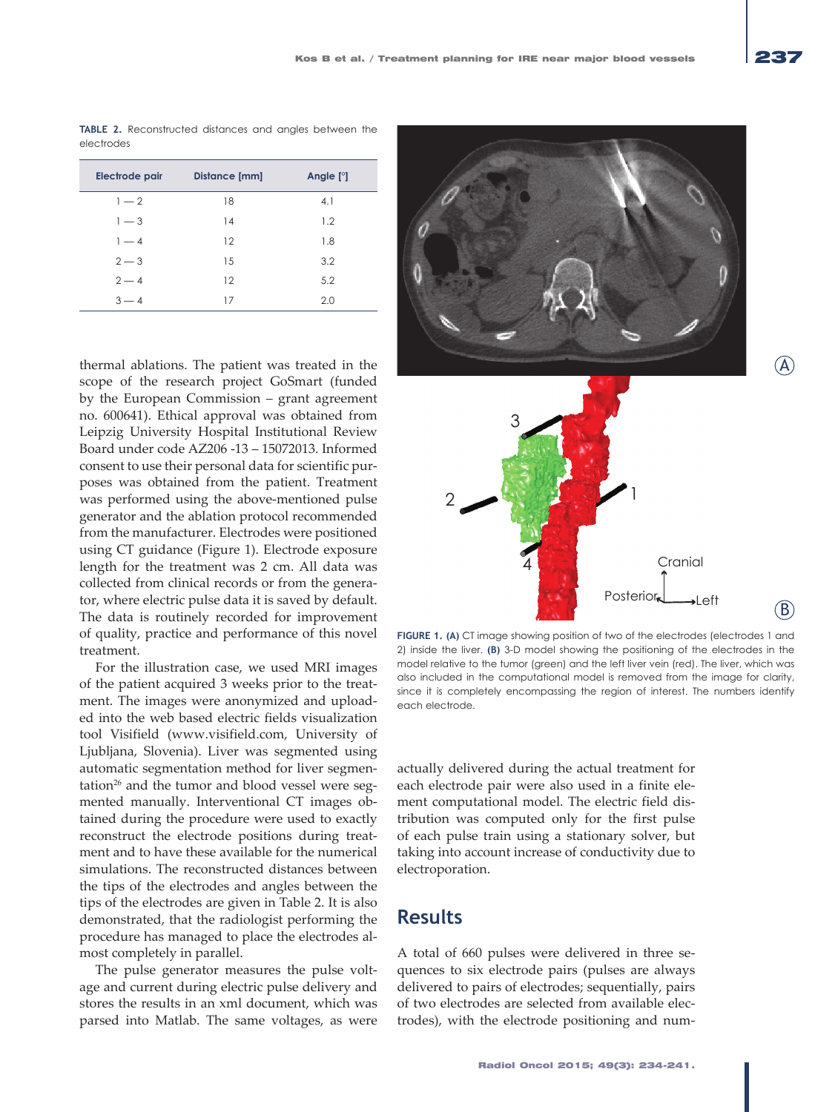**TABLE 2.** Reconstructed distances and angles between the electrodes

| Electrode pair | <b>Distance [mm]</b> | Angle $[°]$ |
|----------------|----------------------|-------------|
| $1 - 2$        | 18                   | 4.1         |
| $1 - 3$        | 14                   | 1.2         |
| $1 - 4$        | 12                   | 1.8         |
| $2 - 3$        | 15                   | 3.2         |
| $2 - 4$        | 12                   | 5.2         |
| $3 - 4$        | 17                   | 2.0         |

thermal ablations. The patient was treated in the scope of the research project GoSmart (funded by the European Commission – grant agreement no. 600641). Ethical approval was obtained from Leipzig University Hospital Institutional Review Board under code AZ206 -13 – 15072013. Informed consent to use their personal data for scientific purposes was obtained from the patient. Treatment was performed using the above-mentioned pulse generator and the ablation protocol recommended from the manufacturer. Electrodes were positioned using CT guidance (Figure 1). Electrode exposure length for the treatment was 2 cm. All data was collected from clinical records or from the generator, where electric pulse data it is saved by default. The data is routinely recorded for improvement of quality, practice and performance of this novel treatment.

For the illustration case, we used MRI images of the patient acquired 3 weeks prior to the treatment. The images were anonymized and uploaded into the web based electric fields visualization tool Visifield (www.visifield.com, University of Ljubljana, Slovenia). Liver was segmented using automatic segmentation method for liver segmentation<sup>26</sup> and the tumor and blood vessel were segmented manually. Interventional CT images obtained during the procedure were used to exactly reconstruct the electrode positions during treatment and to have these available for the numerical simulations. The reconstructed distances between the tips of the electrodes and angles between the tips of the electrodes are given in Table 2. It is also demonstrated, that the radiologist performing the procedure has managed to place the electrodes almost completely in parallel.

The pulse generator measures the pulse voltage and current during electric pulse delivery and stores the results in an xml document, which was parsed into Matlab. The same voltages, as were



**FIGURE 1. (A)** CT image showing position of two of the electrodes (electrodes 1 and 2) inside the liver. **(B)** 3-D model showing the positioning of the electrodes in the model relative to the tumor (green) and the left liver vein (red). The liver, which was also included in the computational model is removed from the image for clarity, since it is completely encompassing the region of interest. The numbers identify each electrode.

actually delivered during the actual treatment for each electrode pair were also used in a finite element computational model. The electric field distribution was computed only for the first pulse of each pulse train using a stationary solver, but taking into account increase of conductivity due to electroporation.

#### **Results**

A total of 660 pulses were delivered in three sequences to six electrode pairs (pulses are always delivered to pairs of electrodes; sequentially, pairs of two electrodes are selected from available electrodes), with the electrode positioning and num-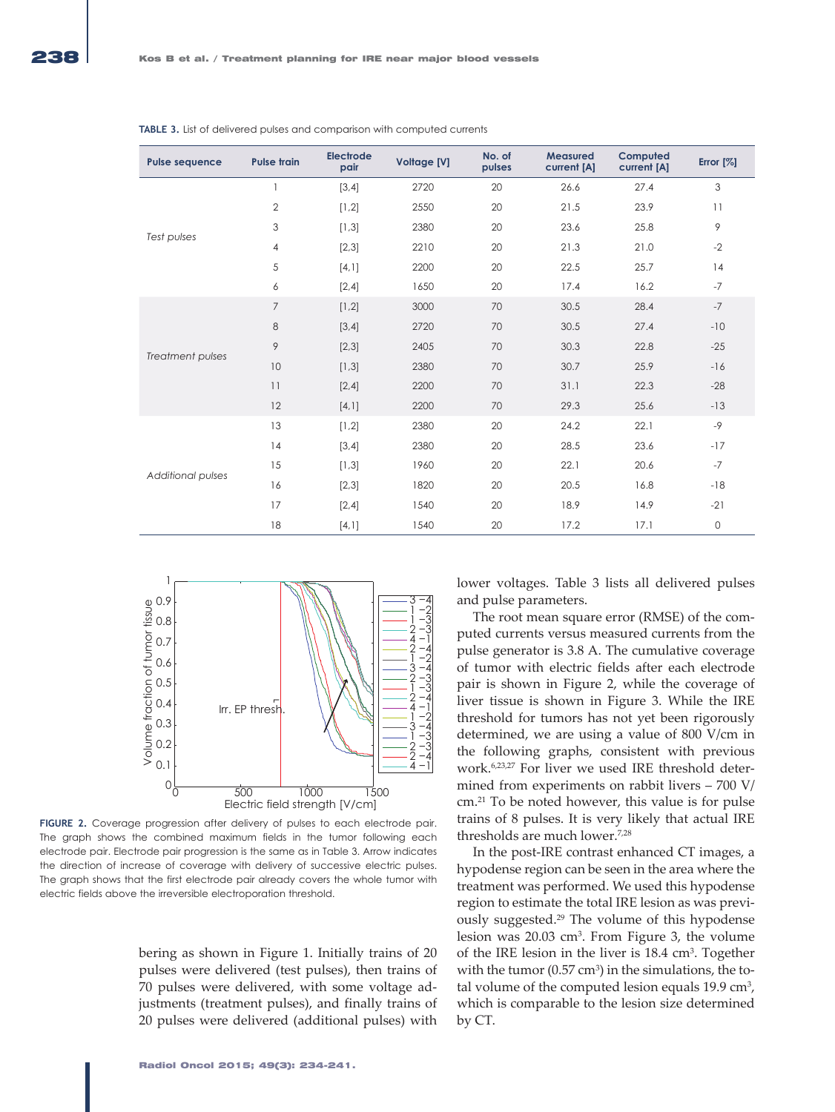| <b>Pulse sequence</b> | <b>Pulse train</b> | <b>Electrode</b><br>pair | <b>Voltage [V]</b> | No. of<br>pulses | <b>Measured</b><br>current [A] | Computed<br>current [A] | Error $[%]$         |
|-----------------------|--------------------|--------------------------|--------------------|------------------|--------------------------------|-------------------------|---------------------|
| Test pulses           | 1                  | [3,4]                    | 2720               | 20               | 26.6                           | 27.4                    | 3                   |
|                       | $\overline{2}$     | [1,2]                    | 2550               | 20               | 21.5                           | 23.9                    | 11                  |
|                       | 3                  | [1,3]                    | 2380               | 20               | 23.6                           | 25.8                    | 9                   |
|                       | 4                  | [2,3]                    | 2210               | 20               | 21.3                           | 21.0                    | $-2$                |
|                       | 5                  | $[4,1]$                  | 2200               | 20               | 22.5                           | 25.7                    | 14                  |
|                       | 6                  | [2,4]                    | 1650               | 20               | 17.4                           | 16.2                    | $-7$                |
| Treatment pulses      | $\overline{7}$     | [1,2]                    | 3000               | 70               | 30.5                           | 28.4                    | $-7$                |
|                       | 8                  | [3, 4]                   | 2720               | 70               | 30.5                           | 27.4                    | $-10$               |
|                       | 9                  | [2,3]                    | 2405               | 70               | 30.3                           | 22.8                    | $-25$               |
|                       | 10                 | [1,3]                    | 2380               | 70               | 30.7                           | 25.9                    | $-16$               |
|                       | 11                 | $[2,4]$                  | 2200               | 70               | 31.1                           | 22.3                    | $-28$               |
|                       | 12                 | [4,1]                    | 2200               | 70               | 29.3                           | 25.6                    | $-13$               |
| Additional pulses     | 13                 | [1,2]                    | 2380               | 20               | 24.2                           | 22.1                    | $-9$                |
|                       | 14                 | [3,4]                    | 2380               | 20               | 28.5                           | 23.6                    | $-17$               |
|                       | 15                 | [1,3]                    | 1960               | 20               | 22.1                           | 20.6                    | $-7$                |
|                       | 16                 | [2,3]                    | 1820               | 20               | 20.5                           | 16.8                    | $-18$               |
|                       | 17                 | $[2,4]$                  | 1540               | 20               | 18.9                           | 14.9                    | $-21$               |
|                       | 18                 | $[4,1]$                  | 1540               | 20               | 17.2                           | 17.1                    | $\mathsf{O}\xspace$ |

**TABLE 3.** List of delivered pulses and comparison with computed currents



**FIGURE 2.** Coverage progression after delivery of pulses to each electrode pair. The graph shows the combined maximum fields in the tumor following each electrode pair. Electrode pair progression is the same as in Table 3. Arrow indicates the direction of increase of coverage with delivery of successive electric pulses. The graph shows that the first electrode pair already covers the whole tumor with electric fields above the irreversible electroporation threshold.

bering as shown in Figure 1. Initially trains of 20 pulses were delivered (test pulses), then trains of 70 pulses were delivered, with some voltage adjustments (treatment pulses), and finally trains of 20 pulses were delivered (additional pulses) with lower voltages. Table 3 lists all delivered pulses and pulse parameters.

The root mean square error (RMSE) of the computed currents versus measured currents from the pulse generator is 3.8 A. The cumulative coverage of tumor with electric fields after each electrode pair is shown in Figure 2, while the coverage of liver tissue is shown in Figure 3. While the IRE threshold for tumors has not yet been rigorously determined, we are using a value of 800 V/cm in the following graphs, consistent with previous work.6,23,27 For liver we used IRE threshold determined from experiments on rabbit livers – 700 V/ cm.21 To be noted however, this value is for pulse trains of 8 pulses. It is very likely that actual IRE thresholds are much lower.<sup>7,28</sup>

In the post-IRE contrast enhanced CT images, a hypodense region can be seen in the area where the treatment was performed. We used this hypodense region to estimate the total IRE lesion as was previously suggested.29 The volume of this hypodense lesion was 20.03 cm3. From Figure 3, the volume of the IRE lesion in the liver is 18.4 cm<sup>3</sup>. Together with the tumor  $(0.57 \text{ cm}^3)$  in the simulations, the total volume of the computed lesion equals 19.9 cm<sup>3</sup>, which is comparable to the lesion size determined by CT.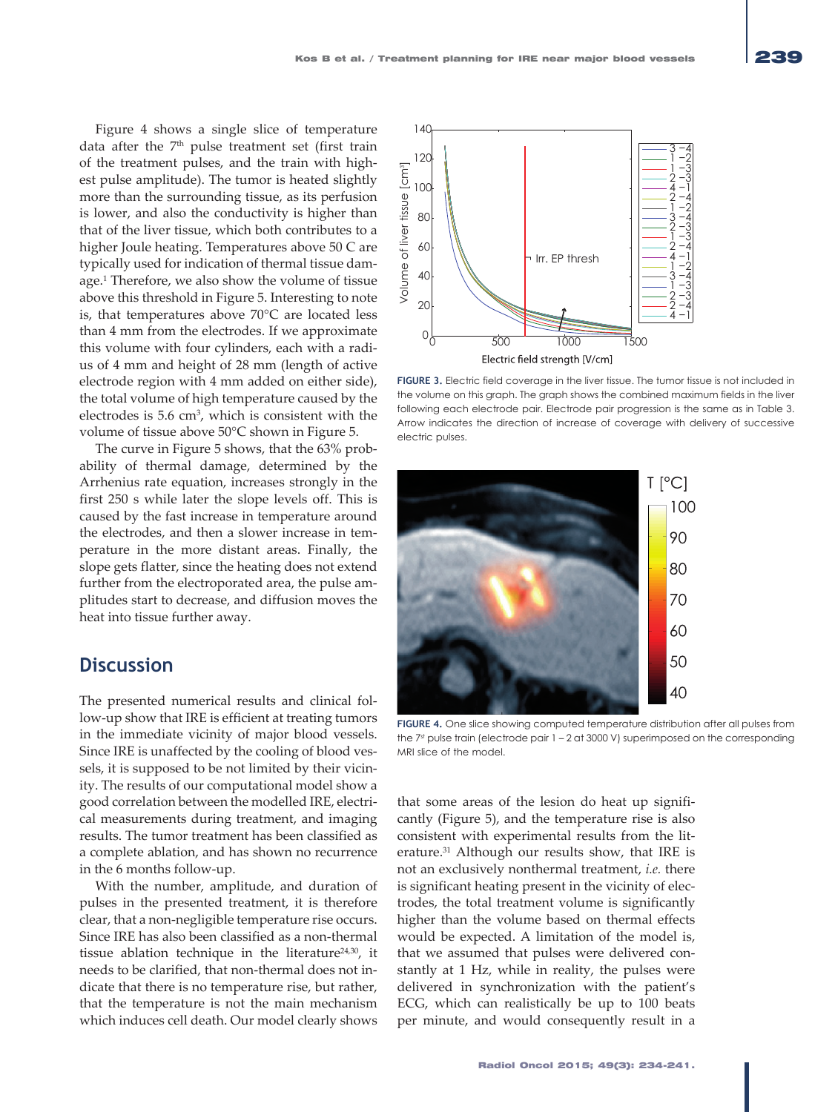Figure 4 shows a single slice of temperature data after the  $7<sup>th</sup>$  pulse treatment set (first train of the treatment pulses, and the train with highest pulse amplitude). The tumor is heated slightly more than the surrounding tissue, as its perfusion is lower, and also the conductivity is higher than that of the liver tissue, which both contributes to a higher Joule heating. Temperatures above 50 C are typically used for indication of thermal tissue damage.1 Therefore, we also show the volume of tissue above this threshold in Figure 5. Interesting to note is, that temperatures above 70°C are located less than 4 mm from the electrodes. If we approximate this volume with four cylinders, each with a radius of 4 mm and height of 28 mm (length of active electrode region with 4 mm added on either side), the total volume of high temperature caused by the electrodes is 5.6 cm3, which is consistent with the volume of tissue above 50°C shown in Figure 5.

The curve in Figure 5 shows, that the 63% probability of thermal damage, determined by the Arrhenius rate equation, increases strongly in the first 250 s while later the slope levels off. This is caused by the fast increase in temperature around the electrodes, and then a slower increase in temperature in the more distant areas. Finally, the slope gets flatter, since the heating does not extend further from the electroporated area, the pulse amplitudes start to decrease, and diffusion moves the heat into tissue further away.

#### **Discussion**

The presented numerical results and clinical follow-up show that IRE is efficient at treating tumors in the immediate vicinity of major blood vessels. Since IRE is unaffected by the cooling of blood vessels, it is supposed to be not limited by their vicinity. The results of our computational model show a good correlation between the modelled IRE, electrical measurements during treatment, and imaging results. The tumor treatment has been classified as a complete ablation, and has shown no recurrence in the 6 months follow-up.

With the number, amplitude, and duration of pulses in the presented treatment, it is therefore clear, that a non-negligible temperature rise occurs. Since IRE has also been classified as a non-thermal tissue ablation technique in the literature<sup>24,30</sup>, it needs to be clarified, that non-thermal does not indicate that there is no temperature rise, but rather, that the temperature is not the main mechanism which induces cell death. Our model clearly shows



**FIGURE 3.** Electric field coverage in the liver tissue. The tumor tissue is not included in the volume on this graph. The graph shows the combined maximum fields in the liver following each electrode pair. Electrode pair progression is the same as in Table 3. Arrow indicates the direction of increase of coverage with delivery of successive electric pulses.



**FIGURE 4.** One slice showing computed temperature distribution after all pulses from the 7st pulse train (electrode pair 1 - 2 at 3000 V) superimposed on the corresponding MRI slice of the model.

that some areas of the lesion do heat up significantly (Figure 5), and the temperature rise is also consistent with experimental results from the literature.31 Although our results show, that IRE is not an exclusively nonthermal treatment, *i.e.* there is significant heating present in the vicinity of electrodes, the total treatment volume is significantly higher than the volume based on thermal effects would be expected. A limitation of the model is, that we assumed that pulses were delivered constantly at 1 Hz, while in reality, the pulses were delivered in synchronization with the patient's ECG, which can realistically be up to 100 beats per minute, and would consequently result in a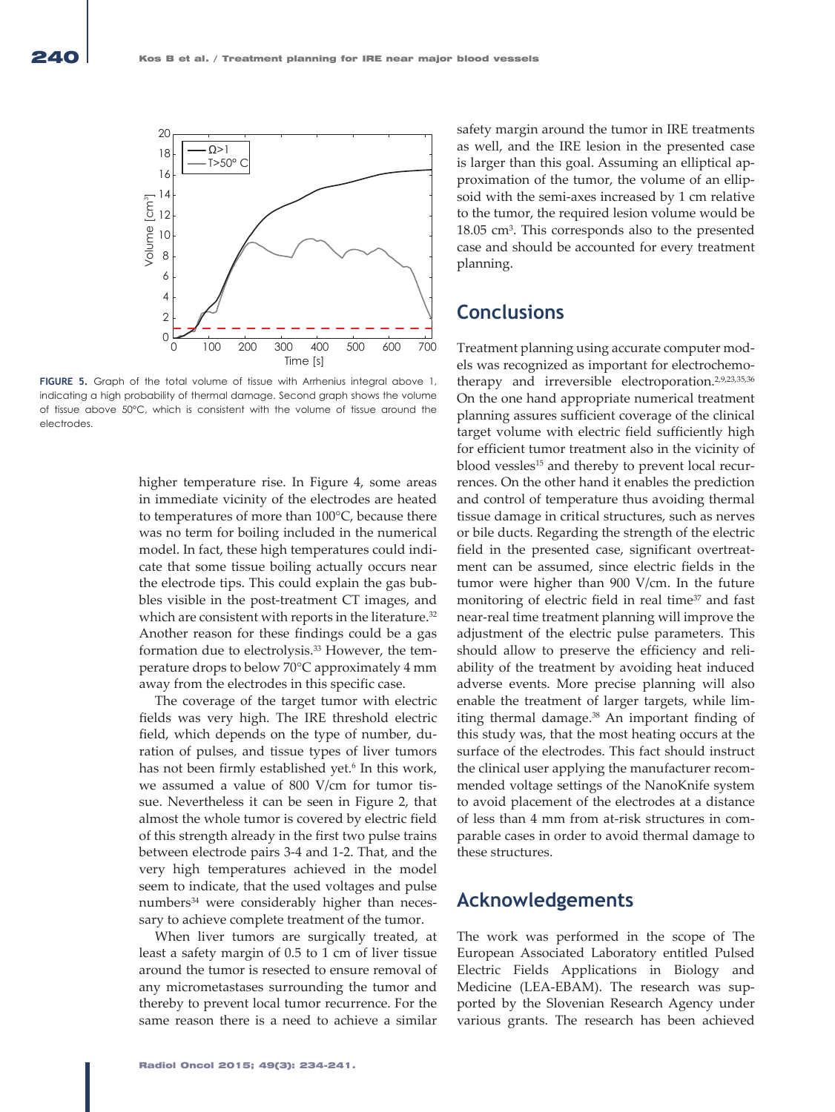

**FIGURE 5.** Graph of the total volume of tissue with Arrhenius integral above 1, indicating a high probability of thermal damage. Second graph shows the volume of tissue above 50°C, which is consistent with the volume of tissue around the electrodes.

higher temperature rise. In Figure 4, some areas in immediate vicinity of the electrodes are heated to temperatures of more than 100°C, because there was no term for boiling included in the numerical model. In fact, these high temperatures could indicate that some tissue boiling actually occurs near the electrode tips. This could explain the gas bubbles visible in the post-treatment CT images, and which are consistent with reports in the literature.<sup>32</sup> Another reason for these findings could be a gas formation due to electrolysis.33 However, the temperature drops to below 70°C approximately 4 mm away from the electrodes in this specific case.

The coverage of the target tumor with electric fields was very high. The IRE threshold electric field, which depends on the type of number, duration of pulses, and tissue types of liver tumors has not been firmly established yet.<sup>6</sup> In this work, we assumed a value of 800 V/cm for tumor tissue. Nevertheless it can be seen in Figure 2, that almost the whole tumor is covered by electric field of this strength already in the first two pulse trains between electrode pairs 3-4 and 1-2. That, and the very high temperatures achieved in the model seem to indicate, that the used voltages and pulse numbers<sup>34</sup> were considerably higher than necessary to achieve complete treatment of the tumor.

When liver tumors are surgically treated, at least a safety margin of 0.5 to 1 cm of liver tissue around the tumor is resected to ensure removal of any micrometastases surrounding the tumor and thereby to prevent local tumor recurrence. For the same reason there is a need to achieve a similar

safety margin around the tumor in IRE treatments as well, and the IRE lesion in the presented case is larger than this goal. Assuming an elliptical approximation of the tumor, the volume of an ellipsoid with the semi-axes increased by 1 cm relative to the tumor, the required lesion volume would be 18.05 cm3 . This corresponds also to the presented case and should be accounted for every treatment planning.

### **Conclusions**

Treatment planning using accurate computer models was recognized as important for electrochemotherapy and irreversible electroporation.<sup>2,9,23,35,36</sup> On the one hand appropriate numerical treatment planning assures sufficient coverage of the clinical target volume with electric field sufficiently high for efficient tumor treatment also in the vicinity of blood vessles<sup>15</sup> and thereby to prevent local recurrences. On the other hand it enables the prediction and control of temperature thus avoiding thermal tissue damage in critical structures, such as nerves or bile ducts. Regarding the strength of the electric field in the presented case, significant overtreatment can be assumed, since electric fields in the tumor were higher than 900 V/cm. In the future monitoring of electric field in real time<sup>37</sup> and fast near-real time treatment planning will improve the adjustment of the electric pulse parameters. This should allow to preserve the efficiency and reliability of the treatment by avoiding heat induced adverse events. More precise planning will also enable the treatment of larger targets, while limiting thermal damage.<sup>38</sup> An important finding of this study was, that the most heating occurs at the surface of the electrodes. This fact should instruct the clinical user applying the manufacturer recommended voltage settings of the NanoKnife system to avoid placement of the electrodes at a distance of less than 4 mm from at-risk structures in comparable cases in order to avoid thermal damage to these structures.

#### **Acknowledgements**

The work was performed in the scope of The European Associated Laboratory entitled Pulsed Electric Fields Applications in Biology and Medicine (LEA-EBAM). The research was supported by the Slovenian Research Agency under various grants. The research has been achieved